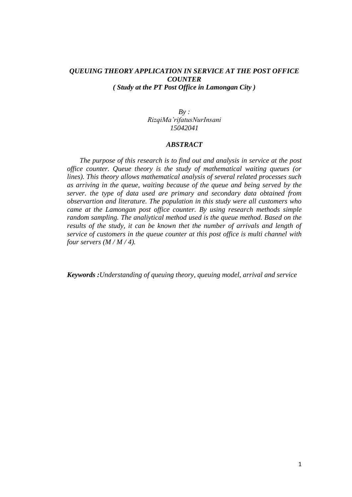## *QUEUING THEORY APPLICATION IN SERVICE AT THE POST OFFICE COUNTER ( Study at the PT Post Office in Lamongan City )*

*By : RizqiMa'rifatusNurInsani 15042041*

## *ABSTRACT*

*The purpose of this research is to find out and analysis in service at the post office counter. Queue theory is the study of mathematical waiting queues (or lines). This theory allows mathematical analysis of several related processes such as arriving in the queue, waiting because of the queue and being served by the server. the type of data used are primary and secondary data obtained from observartion and literature. The population in this study were all customers who came at the Lamongan post office counter. By using research methods simple random sampling. The analiytical method used is the queue method. Based on the results of the study, it can be known thet the number of arrivals and length of service of customers in the queue counter at this post office is multi channel with four servers (M / M / 4).*

*Keywords :Understanding of queuing theory, queuing model, arrival and service*